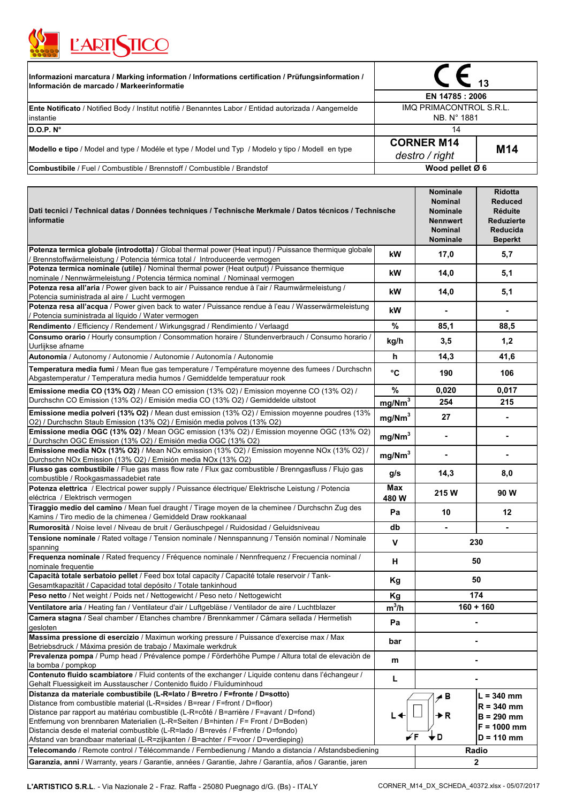

| Informazioni marcatura / Marking information / Informations certification / Prüfungsinformation /<br>Información de marcado / Markeerinformatie | 13<br>EN 14785 : 2006                  |                 |  |
|-------------------------------------------------------------------------------------------------------------------------------------------------|----------------------------------------|-----------------|--|
|                                                                                                                                                 |                                        |                 |  |
| <b>Ente Notificato</b> / Notified Body / Institut notifie / Benanntes Labor / Entidad autorizada / Aangemelde<br>linstantie                     | IMQ PRIMACONTROL S.R.L.<br>NB. N° 1881 |                 |  |
| D.O.P. N°                                                                                                                                       | 14                                     |                 |  |
| Modello e tipo / Model and type / Modéle et type / Model und Typ / Modelo y tipo / Modell en type                                               | <b>CORNER M14</b><br>destro / right    | M <sub>14</sub> |  |
| Combustibile / Fuel / Combustible / Brennstoff / Combustible / Brandstof                                                                        | Wood pellet $Ø 6$                      |                 |  |

| Dati tecnici / Technical datas / Données techniques / Technische Merkmale / Datos técnicos / Technische<br>informatie                                                                                                                                                                                                                                                                                                                                                                                                                                                                                                         |                    | <b>Nominale</b><br><b>Nominal</b><br><b>Nominale</b><br><b>Nennwert</b><br><b>Nominal</b><br><b>Nominale</b> | Ridotta<br><b>Reduced</b><br><b>Réduite</b><br><b>Reduzierte</b><br>Reducida<br><b>Beperkt</b> |
|-------------------------------------------------------------------------------------------------------------------------------------------------------------------------------------------------------------------------------------------------------------------------------------------------------------------------------------------------------------------------------------------------------------------------------------------------------------------------------------------------------------------------------------------------------------------------------------------------------------------------------|--------------------|--------------------------------------------------------------------------------------------------------------|------------------------------------------------------------------------------------------------|
| Potenza termica globale (introdotta) / Global thermal power (Heat input) / Puissance thermique globale<br>Brennstoffwärmeleistung / Potencia térmica total / Introduceerde vermogen                                                                                                                                                                                                                                                                                                                                                                                                                                           | kW                 | 17,0                                                                                                         | 5,7                                                                                            |
| Potenza termica nominale (utile) / Nominal thermal power (Heat output) / Puissance thermique<br>nominale / Nennwärmeleistung / Potencia térmica nominal / Nominaal vermogen                                                                                                                                                                                                                                                                                                                                                                                                                                                   | kW                 | 14,0                                                                                                         | 5,1                                                                                            |
| Potenza resa all'aria / Power given back to air / Puissance rendue à l'air / Raumwärmeleistung /<br>Potencia suministrada al aire / Lucht vermogen                                                                                                                                                                                                                                                                                                                                                                                                                                                                            | kW                 | 14,0                                                                                                         | 5,1                                                                                            |
| Potenza resa all'acqua / Power given back to water / Puissance rendue à l'eau / Wasserwärmeleistung<br>Potencia suministrada al líquido / Water vermogen                                                                                                                                                                                                                                                                                                                                                                                                                                                                      | kW                 | $\blacksquare$                                                                                               | $\blacksquare$                                                                                 |
| Rendimento / Efficiency / Rendement / Wirkungsgrad / Rendimiento / Verlaagd                                                                                                                                                                                                                                                                                                                                                                                                                                                                                                                                                   | $\%$               | 85,1                                                                                                         | 88,5                                                                                           |
| Consumo orario / Hourly consumption / Consommation horaire / Stundenverbrauch / Consumo horario /<br>Uurlijkse afname                                                                                                                                                                                                                                                                                                                                                                                                                                                                                                         | kg/h               | 3,5                                                                                                          | 1,2                                                                                            |
| Autonomia / Autonomy / Autonomie / Autonomie / Autonomía / Autonomie                                                                                                                                                                                                                                                                                                                                                                                                                                                                                                                                                          | h                  | 14,3                                                                                                         | 41,6                                                                                           |
| Temperatura media fumi / Mean flue gas temperature / Température moyenne des fumees / Durchschn<br>Abgastemperatur / Temperatura media humos / Gemiddelde temperatuur rook                                                                                                                                                                                                                                                                                                                                                                                                                                                    | °C                 | 190                                                                                                          | 106                                                                                            |
| Emissione media CO (13% O2) / Mean CO emission (13% O2) / Emission moyenne CO (13% O2) /                                                                                                                                                                                                                                                                                                                                                                                                                                                                                                                                      | $\%$               | 0,020                                                                                                        | 0,017                                                                                          |
| Durchschn CO Emission (13% O2) / Emisión media CO (13% O2) / Gemiddelde uitstoot                                                                                                                                                                                                                                                                                                                                                                                                                                                                                                                                              | mg/Nm <sup>3</sup> | 254                                                                                                          | 215                                                                                            |
| Emissione media polveri (13% O2) / Mean dust emission (13% O2) / Emission moyenne poudres (13%<br>O2) / Durchschn Staub Emission (13% O2) / Emisión media polvos (13% O2)                                                                                                                                                                                                                                                                                                                                                                                                                                                     | mg/Nm <sup>3</sup> | 27                                                                                                           |                                                                                                |
| Emissione media OGC (13% O2) / Mean OGC emission (13% O2) / Emission moyenne OGC (13% O2)<br>Durchschn OGC Emission (13% O2) / Emisión media OGC (13% O2)                                                                                                                                                                                                                                                                                                                                                                                                                                                                     | mg/Nm <sup>3</sup> | $\blacksquare$                                                                                               | $\blacksquare$                                                                                 |
| Emissione media NOx (13% O2) / Mean NOx emission (13% O2) / Emission moyenne NOx (13% O2) /<br>Durchschn NOx Emission (13% O2) / Emisión media NOx (13% O2)                                                                                                                                                                                                                                                                                                                                                                                                                                                                   | mg/Nm <sup>3</sup> | $\blacksquare$                                                                                               |                                                                                                |
| Flusso gas combustibile / Flue gas mass flow rate / Flux gaz combustible / Brenngasfluss / Flujo gas<br>combustible / Rookgasmassadebiet rate                                                                                                                                                                                                                                                                                                                                                                                                                                                                                 | g/s                | 14,3                                                                                                         | 8,0                                                                                            |
| Potenza elettrica / Electrical power supply / Puissance électrique/ Elektrische Leistung / Potencia<br>eléctrica / Elektrisch vermogen                                                                                                                                                                                                                                                                                                                                                                                                                                                                                        | <b>Max</b><br>480W | 215 W                                                                                                        | 90 W                                                                                           |
| Tiraggio medio del camino / Mean fuel draught / Tirage moyen de la cheminee / Durchschn Zug des<br>Kamins / Tiro medio de la chimenea / Gemiddeld Draw rookkanaal                                                                                                                                                                                                                                                                                                                                                                                                                                                             | Pa                 | 10                                                                                                           | $12 \,$                                                                                        |
| Rumorosità / Noise level / Niveau de bruit / Geräuschpegel / Ruidosidad / Geluidsniveau                                                                                                                                                                                                                                                                                                                                                                                                                                                                                                                                       | db                 | $\blacksquare$                                                                                               | $\blacksquare$                                                                                 |
| Tensione nominale / Rated voltage / Tension nominale / Nennspannung / Tensión nominal / Nominale<br>spanning                                                                                                                                                                                                                                                                                                                                                                                                                                                                                                                  | v                  | 230                                                                                                          |                                                                                                |
| Frequenza nominale / Rated frequency / Fréquence nominale / Nennfrequenz / Frecuencia nominal /<br>nominale frequentie                                                                                                                                                                                                                                                                                                                                                                                                                                                                                                        | н                  | 50                                                                                                           |                                                                                                |
| Capacità totale serbatoio pellet / Feed box total capacity / Capacité totale reservoir / Tank-<br>Gesamtkapazität / Capacidad total depósito / Totale tankinhoud                                                                                                                                                                                                                                                                                                                                                                                                                                                              | Kg                 | 50                                                                                                           |                                                                                                |
| Peso netto / Net weight / Poids net / Nettogewicht / Peso neto / Nettogewicht                                                                                                                                                                                                                                                                                                                                                                                                                                                                                                                                                 | Kg                 | 174                                                                                                          |                                                                                                |
| Ventilatore aria / Heating fan / Ventilateur d'air / Luftgebläse / Ventilador de aire / Luchtblazer                                                                                                                                                                                                                                                                                                                                                                                                                                                                                                                           | $m^3/h$            | $160 + 160$                                                                                                  |                                                                                                |
| Camera stagna / Seal chamber / Etanches chambre / Brennkammer / Cámara sellada / Hermetish<br>gesloten                                                                                                                                                                                                                                                                                                                                                                                                                                                                                                                        | Pa                 |                                                                                                              |                                                                                                |
| Massima pressione di esercizio / Maximun working pressure / Puissance d'exercise max / Max<br>Betriebsdruck / Máxima presión de trabajo / Maximale werkdruk                                                                                                                                                                                                                                                                                                                                                                                                                                                                   | bar                |                                                                                                              |                                                                                                |
| Prevalenza pompa / Pump head / Prévalence pompe / Förderhöhe Pumpe / Altura total de elevación de<br>la bomba / pompkop                                                                                                                                                                                                                                                                                                                                                                                                                                                                                                       | m                  |                                                                                                              |                                                                                                |
| Contenuto fluido scambiatore / Fluid contents of the exchanger / Liquide contenu dans l'échangeur /<br>Gehalt Fluessigkeit im Ausstauscher / Contenido fluido / Fluïduminhoud                                                                                                                                                                                                                                                                                                                                                                                                                                                 | L                  |                                                                                                              |                                                                                                |
| Distanza da materiale combustibile (L-R=lato / B=retro / F=fronte / D=sotto)<br>Distance from combustible material (L-R=sides / B=rear / F=front / D=floor)<br>Distance par rapport au matériau combustible (L-R=côté / B=arrière / F=avant / D=fond)<br>Entfernung von brennbaren Materialien (L-R=Seiten / B=hinten / F= Front / D=Boden)<br>Distancia desde el material combustible (L-R=lado / B=revés / F=frente / D=fondo)<br>Afstand van brandbaar materiaal (L-R=zijkanten / B=achter / F=voor / D=verdieping)<br>Telecomando / Remote control / Télécommande / Fernbedienung / Mando a distancia / Afstandsbediening | L +                | ∡ B<br>→R<br>, D                                                                                             | $L = 340$ mm<br>$R = 340$ mm<br>$B = 290$ mm<br>$F = 1000$ mm<br>$D = 110$ mm                  |
| Garanzia, anni / Warranty, years / Garantie, années / Garantie, Jahre / Garantía, años / Garantie, jaren                                                                                                                                                                                                                                                                                                                                                                                                                                                                                                                      |                    | Radio<br>$\mathbf{2}$                                                                                        |                                                                                                |
|                                                                                                                                                                                                                                                                                                                                                                                                                                                                                                                                                                                                                               |                    |                                                                                                              |                                                                                                |